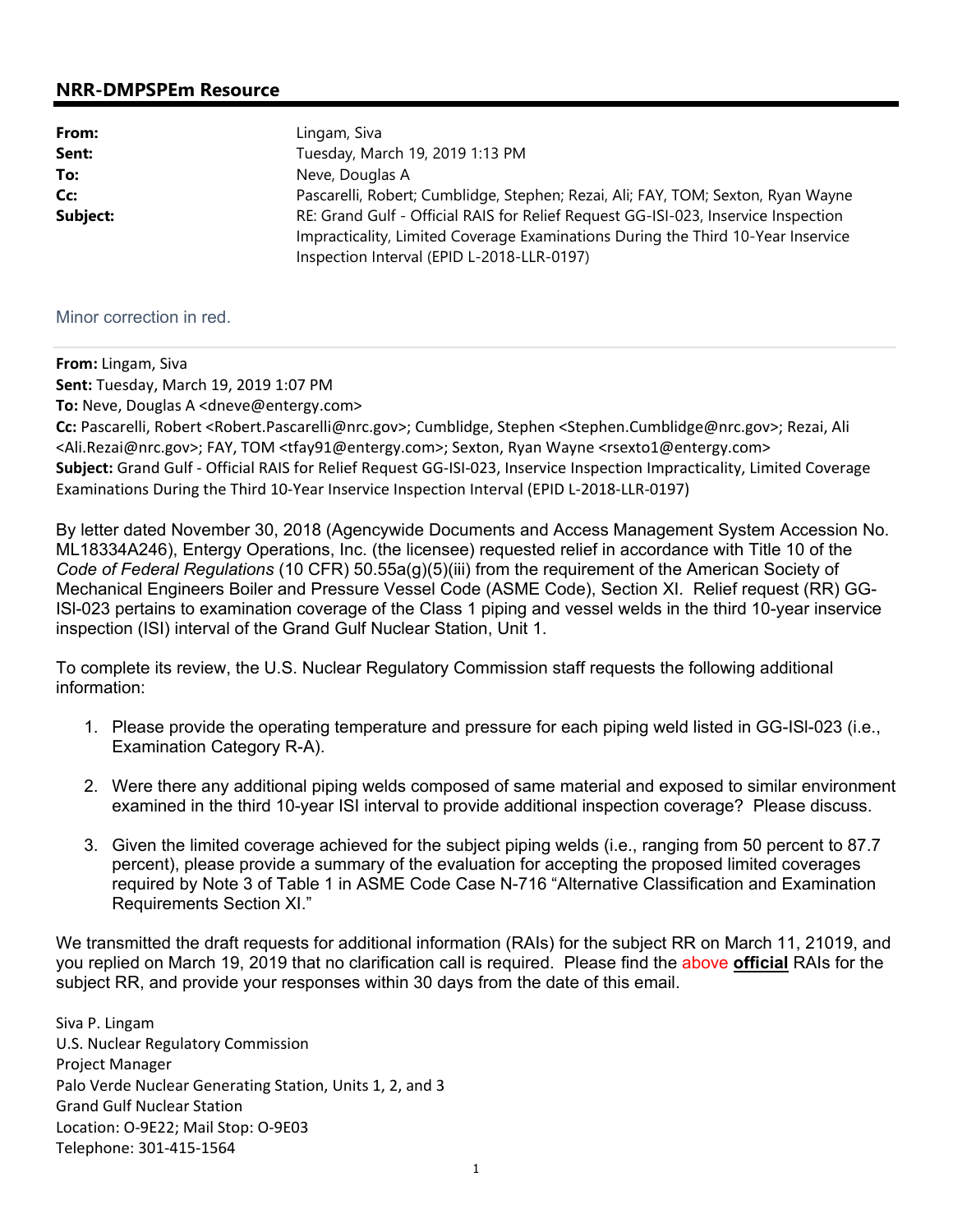## **NRR-DMPSPEm Resource**

| From:    | Lingam, Siva                                                                                                                                                                                                         |  |
|----------|----------------------------------------------------------------------------------------------------------------------------------------------------------------------------------------------------------------------|--|
| Sent:    | Tuesday, March 19, 2019 1:13 PM                                                                                                                                                                                      |  |
| To:      | Neve, Douglas A                                                                                                                                                                                                      |  |
| Cc:      | Pascarelli, Robert; Cumblidge, Stephen; Rezai, Ali; FAY, TOM; Sexton, Ryan Wayne                                                                                                                                     |  |
| Subject: | RE: Grand Gulf - Official RAIS for Relief Request GG-ISI-023, Inservice Inspection<br>Impracticality, Limited Coverage Examinations During the Third 10-Year Inservice<br>Inspection Interval (EPID L-2018-LLR-0197) |  |

## Minor correction in red.

**From:** Lingam, Siva **Sent:** Tuesday, March 19, 2019 1:07 PM

**To:** Neve, Douglas A <dneve@entergy.com>

**Cc:** Pascarelli, Robert <Robert.Pascarelli@nrc.gov>; Cumblidge, Stephen <Stephen.Cumblidge@nrc.gov>; Rezai, Ali <Ali.Rezai@nrc.gov>; FAY, TOM <tfay91@entergy.com>; Sexton, Ryan Wayne <rsexto1@entergy.com> **Subject:** Grand Gulf - Official RAIS for Relief Request GG-ISI-023, Inservice Inspection Impracticality, Limited Coverage Examinations During the Third 10-Year Inservice Inspection Interval (EPID L-2018-LLR-0197)

By letter dated November 30, 2018 (Agencywide Documents and Access Management System Accession No. ML18334A246), Entergy Operations, Inc. (the licensee) requested relief in accordance with Title 10 of the *Code of Federal Regulations* (10 CFR) 50.55a(g)(5)(iii) from the requirement of the American Society of Mechanical Engineers Boiler and Pressure Vessel Code (ASME Code), Section XI. Relief request (RR) GG-ISl-023 pertains to examination coverage of the Class 1 piping and vessel welds in the third 10-year inservice inspection (ISI) interval of the Grand Gulf Nuclear Station, Unit 1.

To complete its review, the U.S. Nuclear Regulatory Commission staff requests the following additional information:

- 1. Please provide the operating temperature and pressure for each piping weld listed in GG-ISl-023 (i.e., Examination Category R-A).
- 2. Were there any additional piping welds composed of same material and exposed to similar environment examined in the third 10-year ISI interval to provide additional inspection coverage? Please discuss.
- 3. Given the limited coverage achieved for the subject piping welds (i.e., ranging from 50 percent to 87.7 percent), please provide a summary of the evaluation for accepting the proposed limited coverages required by Note 3 of Table 1 in ASME Code Case N-716 "Alternative Classification and Examination Requirements Section XI."

We transmitted the draft requests for additional information (RAIs) for the subject RR on March 11, 21019, and you replied on March 19, 2019 that no clarification call is required. Please find the above **official** RAIs for the subject RR, and provide your responses within 30 days from the date of this email.

Siva P. Lingam U.S. Nuclear Regulatory Commission Project Manager Palo Verde Nuclear Generating Station, Units 1, 2, and 3 Grand Gulf Nuclear Station Location: O-9E22; Mail Stop: O-9E03 Telephone: 301-415-1564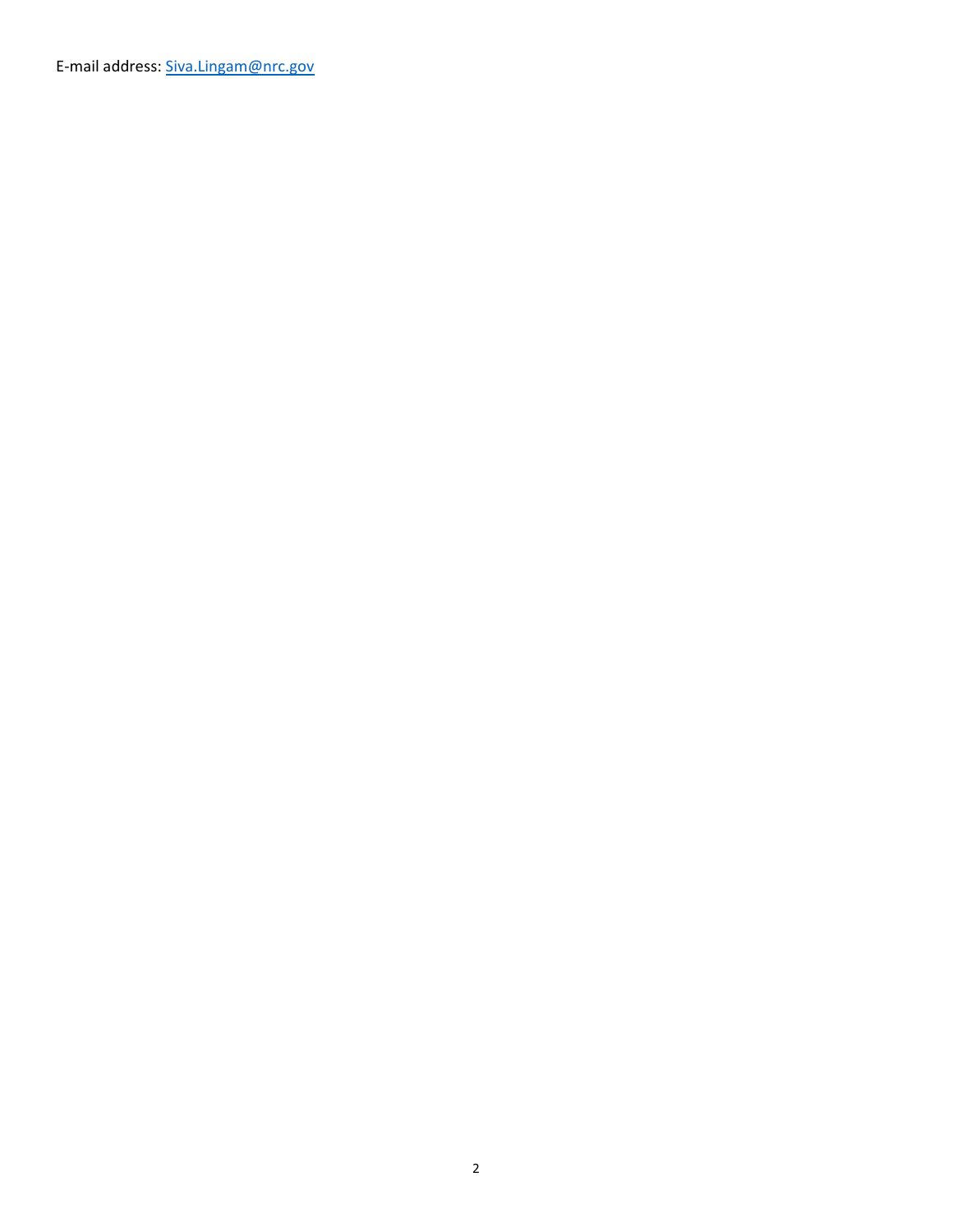E-mail address: Siva.Lingam@nrc.gov